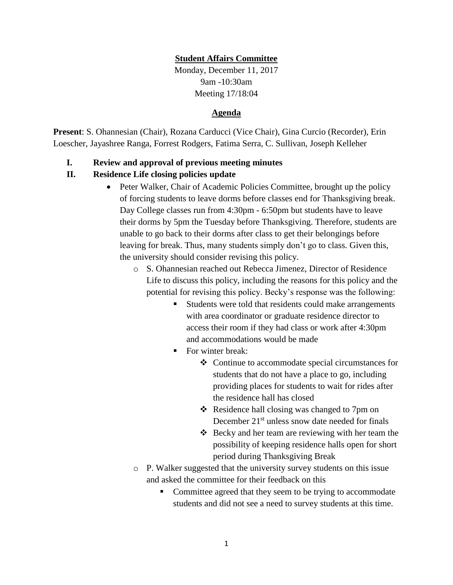## **Student Affairs Committee**

Monday, December 11, 2017 9am -10:30am Meeting 17/18:04

#### **Agenda**

**Present**: S. Ohannesian (Chair), Rozana Carducci (Vice Chair), Gina Curcio (Recorder), Erin Loescher, Jayashree Ranga, Forrest Rodgers, Fatima Serra, C. Sullivan, Joseph Kelleher

### **I. Review and approval of previous meeting minutes**

### **II. Residence Life closing policies update**

- Peter Walker, Chair of Academic Policies Committee, brought up the policy of forcing students to leave dorms before classes end for Thanksgiving break. Day College classes run from 4:30pm - 6:50pm but students have to leave their dorms by 5pm the Tuesday before Thanksgiving. Therefore, students are unable to go back to their dorms after class to get their belongings before leaving for break. Thus, many students simply don't go to class. Given this, the university should consider revising this policy.
	- o S. Ohannesian reached out Rebecca Jimenez, Director of Residence Life to discuss this policy, including the reasons for this policy and the potential for revising this policy. Becky's response was the following:
		- Students were told that residents could make arrangements with area coordinator or graduate residence director to access their room if they had class or work after 4:30pm and accommodations would be made
		- For winter break:
			- ❖ Continue to accommodate special circumstances for students that do not have a place to go, including providing places for students to wait for rides after the residence hall has closed
			- ❖ Residence hall closing was changed to 7pm on December  $21<sup>st</sup>$  unless snow date needed for finals
			- ❖ Becky and her team are reviewing with her team the possibility of keeping residence halls open for short period during Thanksgiving Break
	- o P. Walker suggested that the university survey students on this issue and asked the committee for their feedback on this
		- Committee agreed that they seem to be trying to accommodate students and did not see a need to survey students at this time.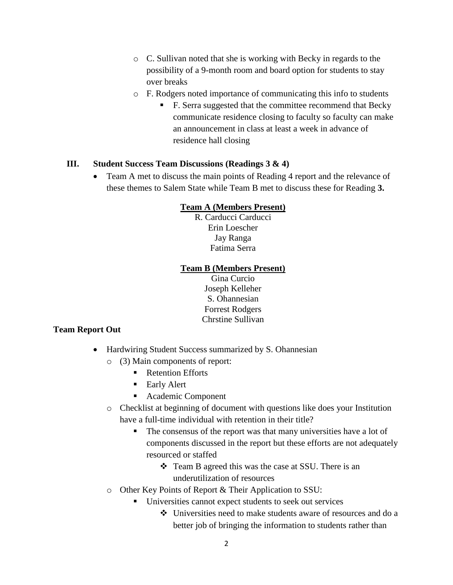- o C. Sullivan noted that she is working with Becky in regards to the possibility of a 9-month room and board option for students to stay over breaks
- o F. Rodgers noted importance of communicating this info to students
	- F. Serra suggested that the committee recommend that Becky communicate residence closing to faculty so faculty can make an announcement in class at least a week in advance of residence hall closing

## **III. Student Success Team Discussions (Readings 3 & 4)**

• Team A met to discuss the main points of Reading 4 report and the relevance of these themes to Salem State while Team B met to discuss these for Reading **3.**

## **Team A (Members Present)**

R. Carducci Carducci Erin Loescher Jay Ranga Fatima Serra

### **Team B (Members Present)**

Gina Curcio Joseph Kelleher S. Ohannesian Forrest Rodgers Chrstine Sullivan

## **Team Report Out**

- Hardwiring Student Success summarized by S. Ohannesian
	- o (3) Main components of report:
		- Retention Efforts
		- Early Alert
		- Academic Component
	- o Checklist at beginning of document with questions like does your Institution have a full-time individual with retention in their title?
		- The consensus of the report was that many universities have a lot of components discussed in the report but these efforts are not adequately resourced or staffed
			- ❖ Team B agreed this was the case at SSU. There is an underutilization of resources
	- o Other Key Points of Report & Their Application to SSU:
		- Universities cannot expect students to seek out services
			- ❖ Universities need to make students aware of resources and do a better job of bringing the information to students rather than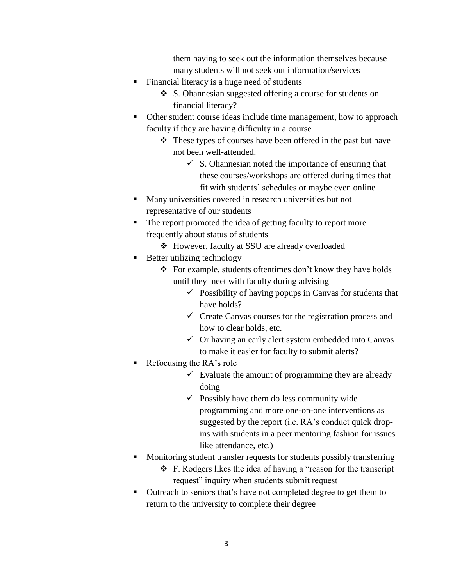them having to seek out the information themselves because many students will not seek out information/services

- Financial literacy is a huge need of students
	- ❖ S. Ohannesian suggested offering a course for students on financial literacy?
- Other student course ideas include time management, how to approach faculty if they are having difficulty in a course
	- ❖ These types of courses have been offered in the past but have not been well-attended.
		- $\checkmark$  S. Ohannesian noted the importance of ensuring that these courses/workshops are offered during times that fit with students' schedules or maybe even online
- Many universities covered in research universities but not representative of our students
- The report promoted the idea of getting faculty to report more frequently about status of students
	- ❖ However, faculty at SSU are already overloaded
- Better utilizing technology
	- ❖ For example, students oftentimes don't know they have holds until they meet with faculty during advising
		- $\checkmark$  Possibility of having popups in Canvas for students that have holds?
		- $\checkmark$  Create Canvas courses for the registration process and how to clear holds, etc.
		- $\checkmark$  Or having an early alert system embedded into Canvas to make it easier for faculty to submit alerts?
- $\blacksquare$  Refocusing the RA's role
	- $\checkmark$  Evaluate the amount of programming they are already doing
	- $\checkmark$  Possibly have them do less community wide programming and more one-on-one interventions as suggested by the report (i.e. RA's conduct quick dropins with students in a peer mentoring fashion for issues like attendance, etc.)
- Monitoring student transfer requests for students possibly transferring
	- ❖ F. Rodgers likes the idea of having a "reason for the transcript request" inquiry when students submit request
- Outreach to seniors that's have not completed degree to get them to return to the university to complete their degree